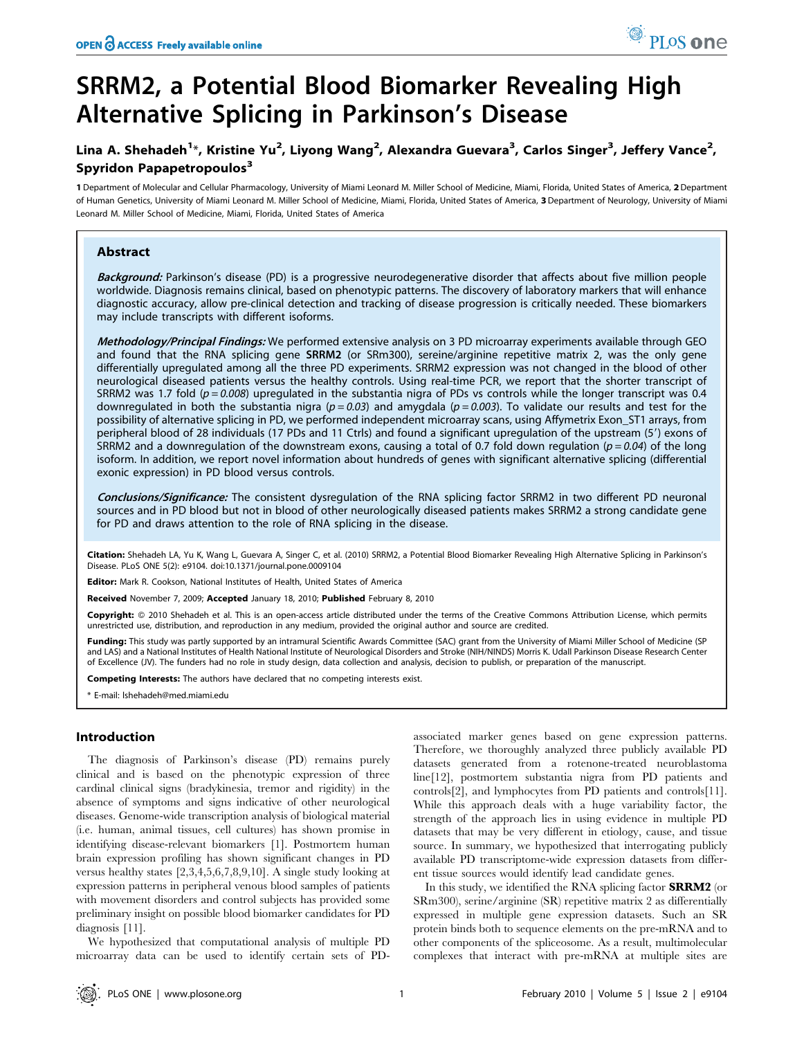# SRRM2, a Potential Blood Biomarker Revealing High Alternative Splicing in Parkinson's Disease

## Lina A. Shehadeh<sup>1</sup>\*, Kristine Yu<sup>2</sup>, Liyong Wang<sup>2</sup>, Alexandra Guevara<sup>3</sup>, Carlos Singer<sup>3</sup>, Jeffery Vance<sup>2</sup>, Spyridon Papapetropoulos<sup>3</sup>

1 Department of Molecular and Cellular Pharmacology, University of Miami Leonard M. Miller School of Medicine, Miami, Florida, United States of America, 2 Department of Human Genetics, University of Miami Leonard M. Miller School of Medicine, Miami, Florida, United States of America, 3Department of Neurology, University of Miami Leonard M. Miller School of Medicine, Miami, Florida, United States of America

## Abstract

Background: Parkinson's disease (PD) is a progressive neurodegenerative disorder that affects about five million people worldwide. Diagnosis remains clinical, based on phenotypic patterns. The discovery of laboratory markers that will enhance diagnostic accuracy, allow pre-clinical detection and tracking of disease progression is critically needed. These biomarkers may include transcripts with different isoforms.

Methodology/Principal Findings: We performed extensive analysis on 3 PD microarray experiments available through GEO and found that the RNA splicing gene SRRM2 (or SRm300), sereine/arginine repetitive matrix 2, was the only gene differentially upregulated among all the three PD experiments. SRRM2 expression was not changed in the blood of other neurological diseased patients versus the healthy controls. Using real-time PCR, we report that the shorter transcript of SRRM2 was 1.7 fold ( $p = 0.008$ ) upregulated in the substantia nigra of PDs vs controls while the longer transcript was 0.4 downregulated in both the substantia nigra ( $p = 0.03$ ) and amygdala ( $p = 0.003$ ). To validate our results and test for the possibility of alternative splicing in PD, we performed independent microarray scans, using Affymetrix Exon\_ST1 arrays, from peripheral blood of 28 individuals (17 PDs and 11 Ctrls) and found a significant upregulation of the upstream (5') exons of SRRM2 and a downregulation of the downstream exons, causing a total of 0.7 fold down regulation ( $p = 0.04$ ) of the long isoform. In addition, we report novel information about hundreds of genes with significant alternative splicing (differential exonic expression) in PD blood versus controls.

Conclusions/Significance: The consistent dysregulation of the RNA splicing factor SRRM2 in two different PD neuronal sources and in PD blood but not in blood of other neurologically diseased patients makes SRRM2 a strong candidate gene for PD and draws attention to the role of RNA splicing in the disease.

Citation: Shehadeh LA, Yu K, Wang L, Guevara A, Singer C, et al. (2010) SRRM2, a Potential Blood Biomarker Revealing High Alternative Splicing in Parkinson's Disease. PLoS ONE 5(2): e9104. doi:10.1371/journal.pone.0009104

**Editor:** Mark R. Cookson, National Institutes of Health, United States of America

Received November 7, 2009; Accepted January 18, 2010; Published February 8, 2010

Copyright: © 2010 Shehadeh et al. This is an open-access article distributed under the terms of the Creative Commons Attribution License, which permits unrestricted use, distribution, and reproduction in any medium, provided the original author and source are credited.

Funding: This study was partly supported by an intramural Scientific Awards Committee (SAC) grant from the University of Miami Miller School of Medicine (SP and LAS) and a National Institutes of Health National Institute of Neurological Disorders and Stroke (NIH/NINDS) Morris K. Udall Parkinson Disease Research Center of Excellence (JV). The funders had no role in study design, data collection and analysis, decision to publish, or preparation of the manuscript.

Competing Interests: The authors have declared that no competing interests exist.

\* E-mail: lshehadeh@med.miami.edu

### Introduction

The diagnosis of Parkinson's disease (PD) remains purely clinical and is based on the phenotypic expression of three cardinal clinical signs (bradykinesia, tremor and rigidity) in the absence of symptoms and signs indicative of other neurological diseases. Genome-wide transcription analysis of biological material (i.e. human, animal tissues, cell cultures) has shown promise in identifying disease-relevant biomarkers [1]. Postmortem human brain expression profiling has shown significant changes in PD versus healthy states [2,3,4,5,6,7,8,9,10]. A single study looking at expression patterns in peripheral venous blood samples of patients with movement disorders and control subjects has provided some preliminary insight on possible blood biomarker candidates for PD diagnosis [11].

We hypothesized that computational analysis of multiple PD microarray data can be used to identify certain sets of PD- associated marker genes based on gene expression patterns. Therefore, we thoroughly analyzed three publicly available PD datasets generated from a rotenone-treated neuroblastoma line[12], postmortem substantia nigra from PD patients and controls[2], and lymphocytes from PD patients and controls[11]. While this approach deals with a huge variability factor, the strength of the approach lies in using evidence in multiple PD datasets that may be very different in etiology, cause, and tissue source. In summary, we hypothesized that interrogating publicly available PD transcriptome-wide expression datasets from different tissue sources would identify lead candidate genes.

In this study, we identified the RNA splicing factor **SRRM2** (or SRm300), serine/arginine (SR) repetitive matrix 2 as differentially expressed in multiple gene expression datasets. Such an SR protein binds both to sequence elements on the pre-mRNA and to other components of the spliceosome. As a result, multimolecular complexes that interact with pre-mRNA at multiple sites are

PLoS one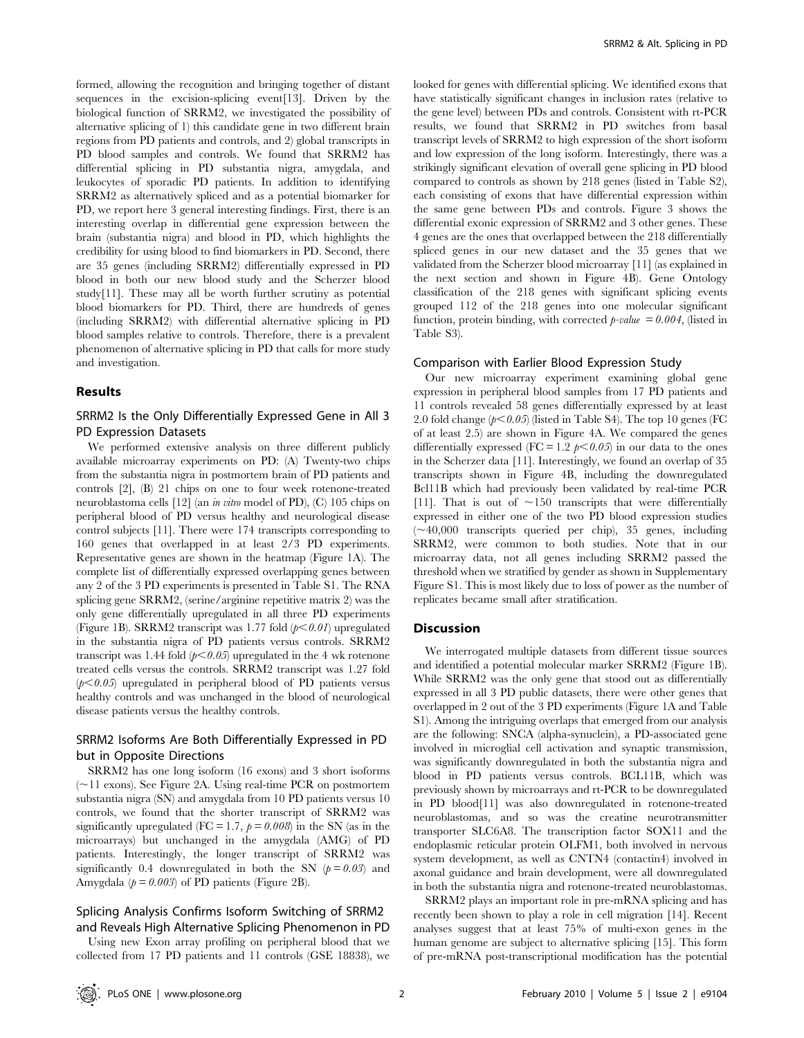formed, allowing the recognition and bringing together of distant sequences in the excision-splicing event[13]. Driven by the biological function of SRRM2, we investigated the possibility of alternative splicing of 1) this candidate gene in two different brain regions from PD patients and controls, and 2) global transcripts in PD blood samples and controls. We found that SRRM2 has differential splicing in PD substantia nigra, amygdala, and leukocytes of sporadic PD patients. In addition to identifying SRRM2 as alternatively spliced and as a potential biomarker for PD, we report here 3 general interesting findings. First, there is an interesting overlap in differential gene expression between the brain (substantia nigra) and blood in PD, which highlights the credibility for using blood to find biomarkers in PD. Second, there are 35 genes (including SRRM2) differentially expressed in PD blood in both our new blood study and the Scherzer blood study[11]. These may all be worth further scrutiny as potential blood biomarkers for PD. Third, there are hundreds of genes (including SRRM2) with differential alternative splicing in PD blood samples relative to controls. Therefore, there is a prevalent phenomenon of alternative splicing in PD that calls for more study and investigation.

#### Results

## SRRM2 Is the Only Differentially Expressed Gene in All 3 PD Expression Datasets

We performed extensive analysis on three different publicly available microarray experiments on PD: (A) Twenty-two chips from the substantia nigra in postmortem brain of PD patients and controls [2], (B) 21 chips on one to four week rotenone-treated neuroblastoma cells [12] (an in vitro model of PD), (C) 105 chips on peripheral blood of PD versus healthy and neurological disease control subjects [11]. There were 174 transcripts corresponding to 160 genes that overlapped in at least 2/3 PD experiments. Representative genes are shown in the heatmap (Figure 1A). The complete list of differentially expressed overlapping genes between any 2 of the 3 PD experiments is presented in Table S1. The RNA splicing gene SRRM2, (serine/arginine repetitive matrix 2) was the only gene differentially upregulated in all three PD experiments (Figure 1B). SRRM2 transcript was 1.77 fold  $(p<0.01)$  upregulated in the substantia nigra of PD patients versus controls. SRRM2 transcript was 1.44 fold  $(p<0.05)$  upregulated in the 4 wk rotenone treated cells versus the controls. SRRM2 transcript was 1.27 fold  $(p<0.05)$  upregulated in peripheral blood of PD patients versus healthy controls and was unchanged in the blood of neurological disease patients versus the healthy controls.

## SRRM2 Isoforms Are Both Differentially Expressed in PD but in Opposite Directions

SRRM2 has one long isoform (16 exons) and 3 short isoforms  $(\sim)11$  exons). See Figure 2A. Using real-time PCR on postmortem substantia nigra (SN) and amygdala from 10 PD patients versus 10 controls, we found that the shorter transcript of SRRM2 was significantly upregulated (FC = 1.7,  $p = 0.008$ ) in the SN (as in the microarrays) but unchanged in the amygdala (AMG) of PD patients. Interestingly, the longer transcript of SRRM2 was significantly 0.4 downregulated in both the SN  $(p = 0.03)$  and Amygdala ( $p = 0.003$ ) of PD patients (Figure 2B).

### Splicing Analysis Confirms Isoform Switching of SRRM2 and Reveals High Alternative Splicing Phenomenon in PD

Using new Exon array profiling on peripheral blood that we collected from 17 PD patients and 11 controls (GSE 18838), we looked for genes with differential splicing. We identified exons that have statistically significant changes in inclusion rates (relative to the gene level) between PDs and controls. Consistent with rt-PCR results, we found that SRRM2 in PD switches from basal transcript levels of SRRM2 to high expression of the short isoform and low expression of the long isoform. Interestingly, there was a strikingly significant elevation of overall gene splicing in PD blood compared to controls as shown by 218 genes (listed in Table S2), each consisting of exons that have differential expression within the same gene between PDs and controls. Figure 3 shows the differential exonic expression of SRRM2 and 3 other genes. These 4 genes are the ones that overlapped between the 218 differentially spliced genes in our new dataset and the 35 genes that we validated from the Scherzer blood microarray [11] (as explained in the next section and shown in Figure 4B). Gene Ontology classification of the 218 genes with significant splicing events grouped 112 of the 218 genes into one molecular significant function, protein binding, with corrected  $p$ -value = 0.004, (listed in Table S3).

#### Comparison with Earlier Blood Expression Study

Our new microarray experiment examining global gene expression in peripheral blood samples from 17 PD patients and 11 controls revealed 58 genes differentially expressed by at least 2.0 fold change  $(p<0.05)$  (listed in Table S4). The top 10 genes (FC of at least 2.5) are shown in Figure 4A. We compared the genes differentially expressed (FC = 1.2  $p < 0.05$ ) in our data to the ones in the Scherzer data [11]. Interestingly, we found an overlap of 35 transcripts shown in Figure 4B, including the downregulated Bcl11B which had previously been validated by real-time PCR [11]. That is out of  $\sim$ 150 transcripts that were differentially expressed in either one of the two PD blood expression studies  $(\sim 40,000$  transcripts queried per chip), 35 genes, including SRRM2, were common to both studies. Note that in our microarray data, not all genes including SRRM2 passed the threshold when we stratified by gender as shown in Supplementary Figure S1. This is most likely due to loss of power as the number of replicates became small after stratification.

#### Discussion

We interrogated multiple datasets from different tissue sources and identified a potential molecular marker SRRM2 (Figure 1B). While SRRM2 was the only gene that stood out as differentially expressed in all 3 PD public datasets, there were other genes that overlapped in 2 out of the 3 PD experiments (Figure 1A and Table S1). Among the intriguing overlaps that emerged from our analysis are the following: SNCA (alpha-synuclein), a PD-associated gene involved in microglial cell activation and synaptic transmission, was significantly downregulated in both the substantia nigra and blood in PD patients versus controls. BCL11B, which was previously shown by microarrays and rt-PCR to be downregulated in PD blood[11] was also downregulated in rotenone-treated neuroblastomas, and so was the creatine neurotransmitter transporter SLC6A8. The transcription factor SOX11 and the endoplasmic reticular protein OLFM1, both involved in nervous system development, as well as CNTN4 (contactin4) involved in axonal guidance and brain development, were all downregulated in both the substantia nigra and rotenone-treated neuroblastomas.

SRRM2 plays an important role in pre-mRNA splicing and has recently been shown to play a role in cell migration [14]. Recent analyses suggest that at least 75% of multi-exon genes in the human genome are subject to alternative splicing [15]. This form of pre-mRNA post-transcriptional modification has the potential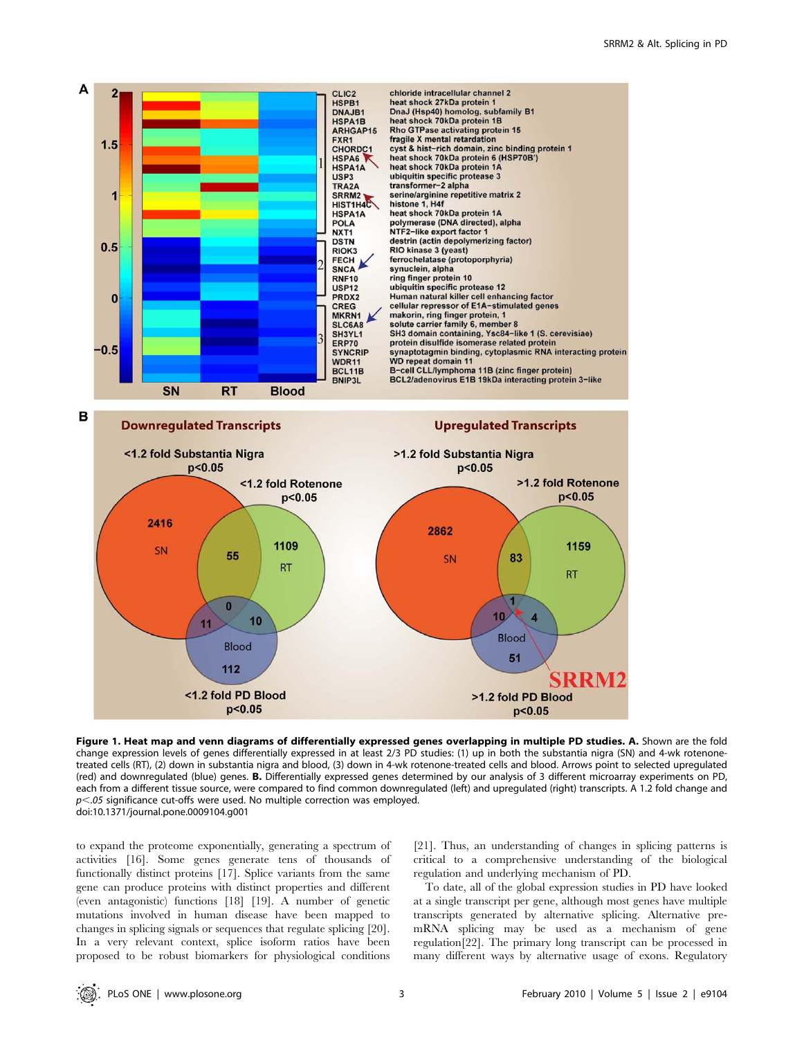

Figure 1. Heat map and venn diagrams of differentially expressed genes overlapping in multiple PD studies. A. Shown are the fold change expression levels of genes differentially expressed in at least 2/3 PD studies: (1) up in both the substantia nigra (SN) and 4-wk rotenonetreated cells (RT), (2) down in substantia nigra and blood, (3) down in 4-wk rotenone-treated cells and blood. Arrows point to selected upregulated (red) and downregulated (blue) genes. B. Differentially expressed genes determined by our analysis of 3 different microarray experiments on PD, each from a different tissue source, were compared to find common downregulated (left) and upregulated (right) transcripts. A 1.2 fold change and  $p<.05$  significance cut-offs were used. No multiple correction was employed. doi:10.1371/journal.pone.0009104.g001

to expand the proteome exponentially, generating a spectrum of activities [16]. Some genes generate tens of thousands of functionally distinct proteins [17]. Splice variants from the same gene can produce proteins with distinct properties and different (even antagonistic) functions [18] [19]. A number of genetic mutations involved in human disease have been mapped to changes in splicing signals or sequences that regulate splicing [20]. In a very relevant context, splice isoform ratios have been proposed to be robust biomarkers for physiological conditions

[21]. Thus, an understanding of changes in splicing patterns is critical to a comprehensive understanding of the biological regulation and underlying mechanism of PD.

To date, all of the global expression studies in PD have looked at a single transcript per gene, although most genes have multiple transcripts generated by alternative splicing. Alternative premRNA splicing may be used as a mechanism of gene regulation[22]. The primary long transcript can be processed in many different ways by alternative usage of exons. Regulatory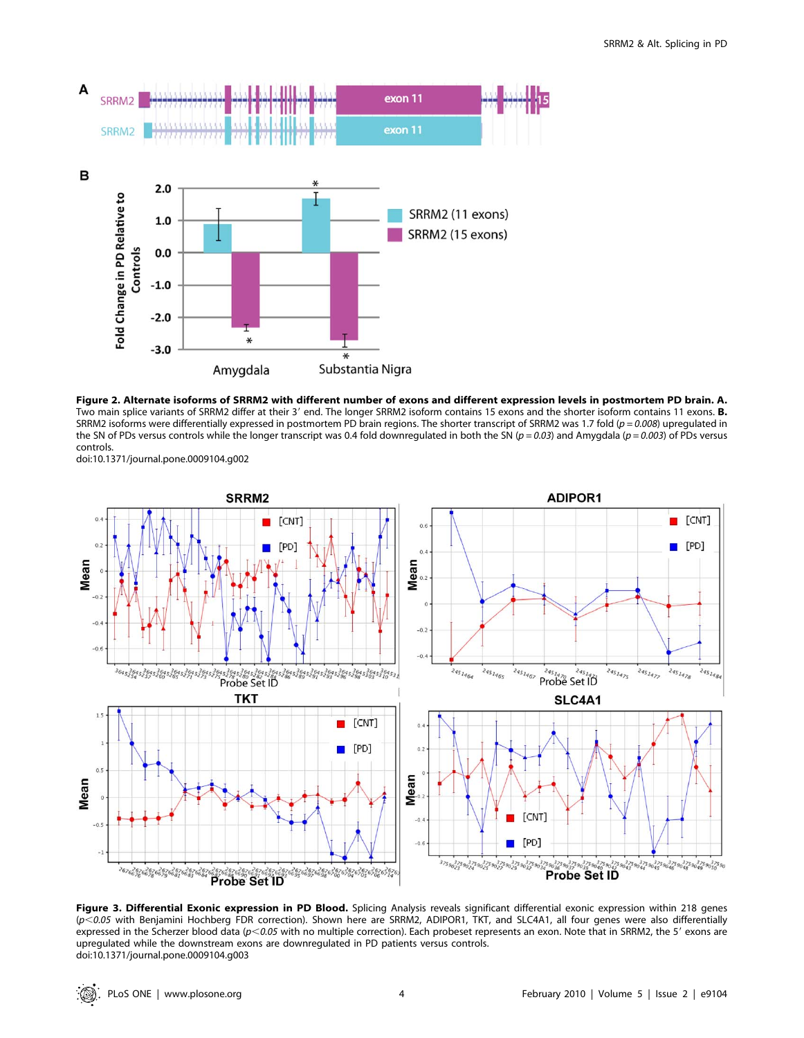



doi:10.1371/journal.pone.0009104.g002



Figure 3. Differential Exonic expression in PD Blood. Splicing Analysis reveals significant differential exonic expression within 218 genes (p,0.05 with Benjamini Hochberg FDR correction). Shown here are SRRM2, ADIPOR1, TKT, and SLC4A1, all four genes were also differentially expressed in the Scherzer blood data ( $p<0.05$  with no multiple correction). Each probeset represents an exon. Note that in SRRM2, the 5' exons are upregulated while the downstream exons are downregulated in PD patients versus controls. doi:10.1371/journal.pone.0009104.g003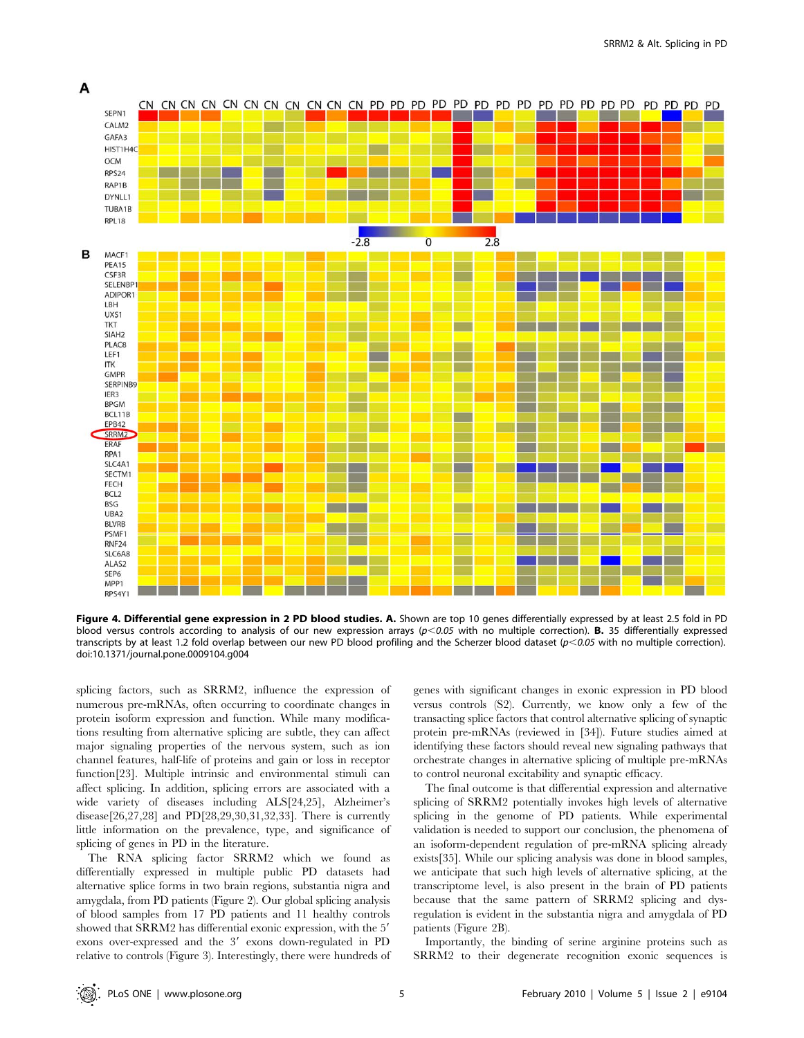

Figure 4. Differential gene expression in 2 PD blood studies. A. Shown are top 10 genes differentially expressed by at least 2.5 fold in PD blood versus controls according to analysis of our new expression arrays  $(p<0.05$  with no multiple correction). **B.** 35 differentially expressed transcripts by at least 1.2 fold overlap between our new PD blood profiling and the Scherzer blood dataset ( $p$ <0.05 with no multiple correction). doi:10.1371/journal.pone.0009104.g004

splicing factors, such as SRRM2, influence the expression of numerous pre-mRNAs, often occurring to coordinate changes in protein isoform expression and function. While many modifications resulting from alternative splicing are subtle, they can affect major signaling properties of the nervous system, such as ion channel features, half-life of proteins and gain or loss in receptor function[23]. Multiple intrinsic and environmental stimuli can affect splicing. In addition, splicing errors are associated with a wide variety of diseases including ALS[24,25], Alzheimer's disease[26,27,28] and PD[28,29,30,31,32,33]. There is currently little information on the prevalence, type, and significance of splicing of genes in PD in the literature.

The RNA splicing factor SRRM2 which we found as differentially expressed in multiple public PD datasets had alternative splice forms in two brain regions, substantia nigra and amygdala, from PD patients (Figure 2). Our global splicing analysis of blood samples from 17 PD patients and 11 healthy controls showed that SRRM2 has differential exonic expression, with the 5' exons over-expressed and the 3' exons down-regulated in PD relative to controls (Figure 3). Interestingly, there were hundreds of

genes with significant changes in exonic expression in PD blood versus controls (S2). Currently, we know only a few of the transacting splice factors that control alternative splicing of synaptic protein pre-mRNAs (reviewed in [34]). Future studies aimed at identifying these factors should reveal new signaling pathways that orchestrate changes in alternative splicing of multiple pre-mRNAs to control neuronal excitability and synaptic efficacy.

The final outcome is that differential expression and alternative splicing of SRRM2 potentially invokes high levels of alternative splicing in the genome of PD patients. While experimental validation is needed to support our conclusion, the phenomena of an isoform-dependent regulation of pre-mRNA splicing already exists[35]. While our splicing analysis was done in blood samples, we anticipate that such high levels of alternative splicing, at the transcriptome level, is also present in the brain of PD patients because that the same pattern of SRRM2 splicing and dysregulation is evident in the substantia nigra and amygdala of PD patients (Figure 2B).

Importantly, the binding of serine arginine proteins such as SRRM2 to their degenerate recognition exonic sequences is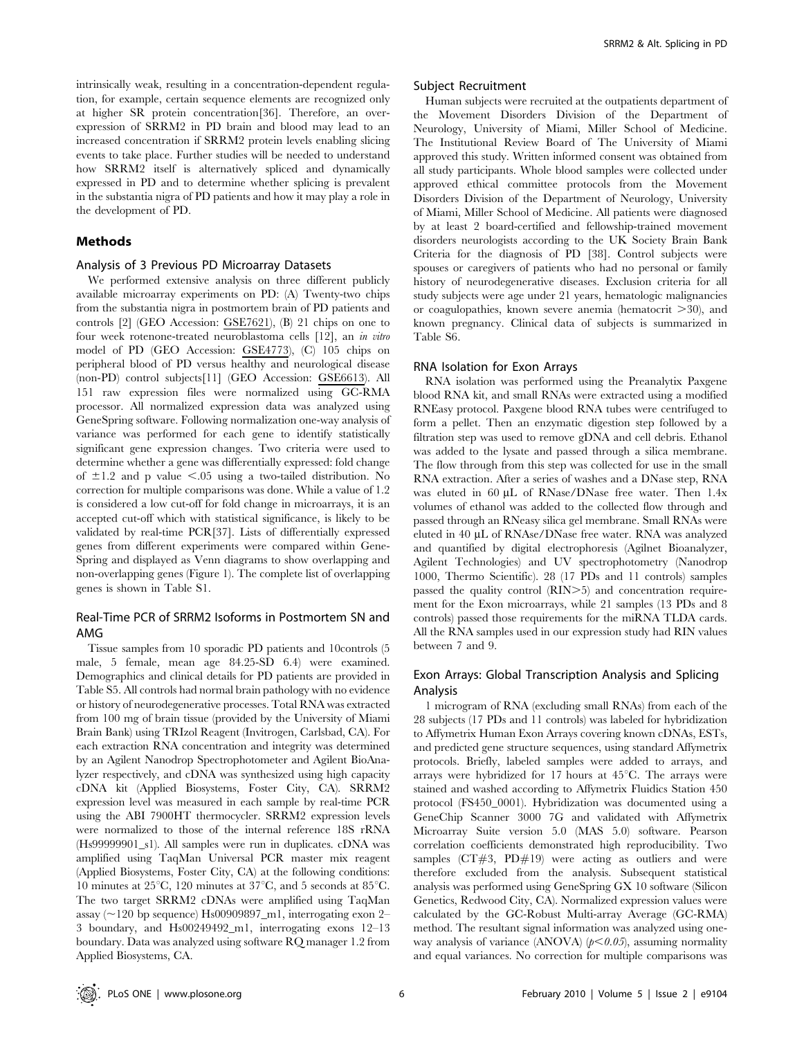intrinsically weak, resulting in a concentration-dependent regulation, for example, certain sequence elements are recognized only at higher SR protein concentration[36]. Therefore, an overexpression of SRRM2 in PD brain and blood may lead to an increased concentration if SRRM2 protein levels enabling slicing events to take place. Further studies will be needed to understand how SRRM2 itself is alternatively spliced and dynamically expressed in PD and to determine whether splicing is prevalent in the substantia nigra of PD patients and how it may play a role in the development of PD.

## Methods

#### Analysis of 3 Previous PD Microarray Datasets

We performed extensive analysis on three different publicly available microarray experiments on PD: (A) Twenty-two chips from the substantia nigra in postmortem brain of PD patients and controls [2] (GEO Accession: GSE7621), (B) 21 chips on one to four week rotenone-treated neuroblastoma cells [12], an in vitro model of PD (GEO Accession: GSE4773), (C) 105 chips on peripheral blood of PD versus healthy and neurological disease (non-PD) control subjects[11] (GEO Accession: GSE6613). All 151 raw expression files were normalized using GC-RMA processor. All normalized expression data was analyzed using GeneSpring software. Following normalization one-way analysis of variance was performed for each gene to identify statistically significant gene expression changes. Two criteria were used to determine whether a gene was differentially expressed: fold change of  $\pm 1.2$  and p value  $\leq 0.05$  using a two-tailed distribution. No correction for multiple comparisons was done. While a value of 1.2 is considered a low cut-off for fold change in microarrays, it is an accepted cut-off which with statistical significance, is likely to be validated by real-time PCR[37]. Lists of differentially expressed genes from different experiments were compared within Gene-Spring and displayed as Venn diagrams to show overlapping and non-overlapping genes (Figure 1). The complete list of overlapping genes is shown in Table S1.

## Real-Time PCR of SRRM2 Isoforms in Postmortem SN and AMG

Tissue samples from 10 sporadic PD patients and 10controls (5 male, 5 female, mean age 84.25-SD 6.4) were examined. Demographics and clinical details for PD patients are provided in Table S5. All controls had normal brain pathology with no evidence or history of neurodegenerative processes. Total RNA was extracted from 100 mg of brain tissue (provided by the University of Miami Brain Bank) using TRIzol Reagent (Invitrogen, Carlsbad, CA). For each extraction RNA concentration and integrity was determined by an Agilent Nanodrop Spectrophotometer and Agilent BioAnalyzer respectively, and cDNA was synthesized using high capacity cDNA kit (Applied Biosystems, Foster City, CA). SRRM2 expression level was measured in each sample by real-time PCR using the ABI 7900HT thermocycler. SRRM2 expression levels were normalized to those of the internal reference 18S rRNA (Hs99999901\_s1). All samples were run in duplicates. cDNA was amplified using TaqMan Universal PCR master mix reagent (Applied Biosystems, Foster City, CA) at the following conditions: 10 minutes at  $25^{\circ}$ C, 120 minutes at  $37^{\circ}$ C, and 5 seconds at  $85^{\circ}$ C. The two target SRRM2 cDNAs were amplified using TaqMan assay ( $\sim$ 120 bp sequence) Hs00909897\_m1, interrogating exon 2– 3 boundary, and Hs00249492\_m1, interrogating exons 12–13 boundary. Data was analyzed using software RQ manager 1.2 from Applied Biosystems, CA.

#### Subject Recruitment

Human subjects were recruited at the outpatients department of the Movement Disorders Division of the Department of Neurology, University of Miami, Miller School of Medicine. The Institutional Review Board of The University of Miami approved this study. Written informed consent was obtained from all study participants. Whole blood samples were collected under approved ethical committee protocols from the Movement Disorders Division of the Department of Neurology, University of Miami, Miller School of Medicine. All patients were diagnosed by at least 2 board-certified and fellowship-trained movement disorders neurologists according to the UK Society Brain Bank Criteria for the diagnosis of PD [38]. Control subjects were spouses or caregivers of patients who had no personal or family history of neurodegenerative diseases. Exclusion criteria for all study subjects were age under 21 years, hematologic malignancies or coagulopathies, known severe anemia (hematocrit  $>30$ ), and known pregnancy. Clinical data of subjects is summarized in Table S6.

#### RNA Isolation for Exon Arrays

RNA isolation was performed using the Preanalytix Paxgene blood RNA kit, and small RNAs were extracted using a modified RNEasy protocol. Paxgene blood RNA tubes were centrifuged to form a pellet. Then an enzymatic digestion step followed by a filtration step was used to remove gDNA and cell debris. Ethanol was added to the lysate and passed through a silica membrane. The flow through from this step was collected for use in the small RNA extraction. After a series of washes and a DNase step, RNA was eluted in  $60 \mu L$  of RNase/DNase free water. Then 1.4x volumes of ethanol was added to the collected flow through and passed through an RNeasy silica gel membrane. Small RNAs were eluted in 40 µL of RNAse/DNase free water. RNA was analyzed and quantified by digital electrophoresis (Agilnet Bioanalyzer, Agilent Technologies) and UV spectrophotometry (Nanodrop 1000, Thermo Scientific). 28 (17 PDs and 11 controls) samples passed the quality control (RIN>5) and concentration requirement for the Exon microarrays, while 21 samples (13 PDs and 8 controls) passed those requirements for the miRNA TLDA cards. All the RNA samples used in our expression study had RIN values between 7 and 9.

## Exon Arrays: Global Transcription Analysis and Splicing Analysis

1 microgram of RNA (excluding small RNAs) from each of the 28 subjects (17 PDs and 11 controls) was labeled for hybridization to Affymetrix Human Exon Arrays covering known cDNAs, ESTs, and predicted gene structure sequences, using standard Affymetrix protocols. Briefly, labeled samples were added to arrays, and arrays were hybridized for 17 hours at  $45^{\circ}$ C. The arrays were stained and washed according to Affymetrix Fluidics Station 450 protocol (FS450\_0001). Hybridization was documented using a GeneChip Scanner 3000 7G and validated with Affymetrix Microarray Suite version 5.0 (MAS 5.0) software. Pearson correlation coefficients demonstrated high reproducibility. Two samples (CT#3, PD#19) were acting as outliers and were therefore excluded from the analysis. Subsequent statistical analysis was performed using GeneSpring GX 10 software (Silicon Genetics, Redwood City, CA). Normalized expression values were calculated by the GC-Robust Multi-array Average (GC-RMA) method. The resultant signal information was analyzed using oneway analysis of variance (ANOVA)  $(p<0.05)$ , assuming normality and equal variances. No correction for multiple comparisons was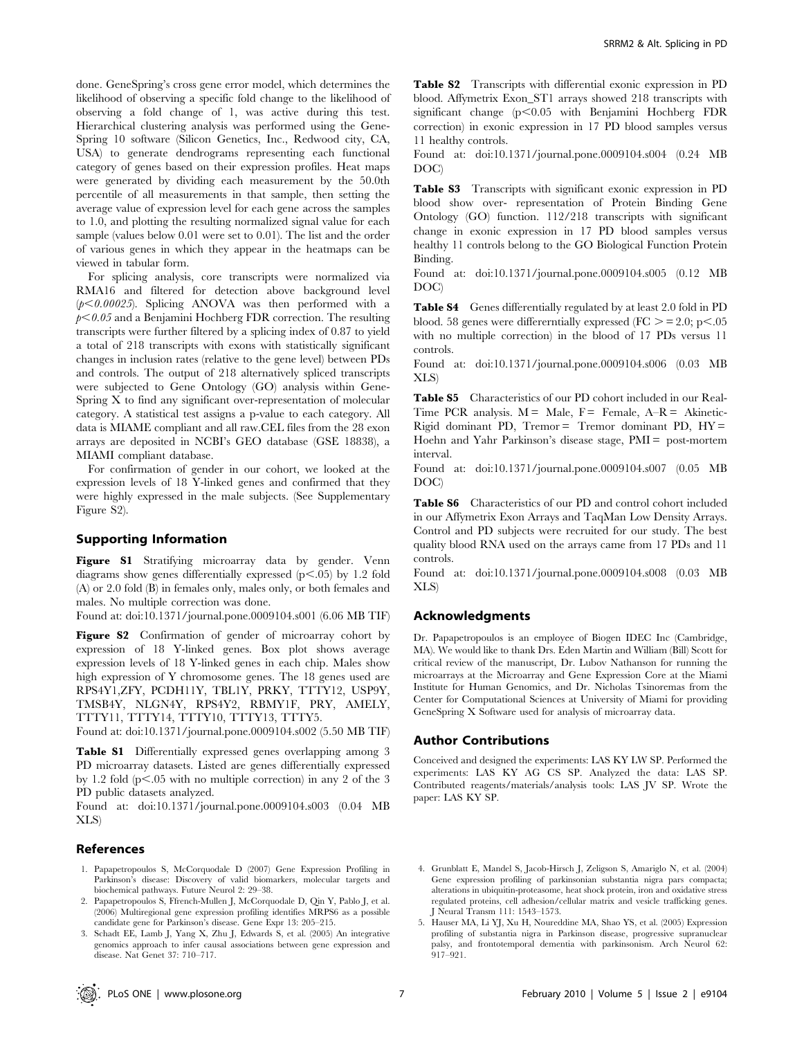done. GeneSpring's cross gene error model, which determines the likelihood of observing a specific fold change to the likelihood of observing a fold change of 1, was active during this test. Hierarchical clustering analysis was performed using the Gene-Spring 10 software (Silicon Genetics, Inc., Redwood city, CA, USA) to generate dendrograms representing each functional category of genes based on their expression profiles. Heat maps were generated by dividing each measurement by the 50.0th percentile of all measurements in that sample, then setting the average value of expression level for each gene across the samples to 1.0, and plotting the resulting normalized signal value for each sample (values below 0.01 were set to 0.01). The list and the order of various genes in which they appear in the heatmaps can be viewed in tabular form.

For splicing analysis, core transcripts were normalized via RMA16 and filtered for detection above background level  $(p<0.00025)$ . Splicing ANOVA was then performed with a  $p<0.05$  and a Benjamini Hochberg FDR correction. The resulting transcripts were further filtered by a splicing index of 0.87 to yield a total of 218 transcripts with exons with statistically significant changes in inclusion rates (relative to the gene level) between PDs and controls. The output of 218 alternatively spliced transcripts were subjected to Gene Ontology (GO) analysis within Gene-Spring X to find any significant over-representation of molecular category. A statistical test assigns a p-value to each category. All data is MIAME compliant and all raw.CEL files from the 28 exon arrays are deposited in NCBI's GEO database (GSE 18838), a MIAMI compliant database.

For confirmation of gender in our cohort, we looked at the expression levels of 18 Y-linked genes and confirmed that they were highly expressed in the male subjects. (See Supplementary Figure S2).

#### Supporting Information

Figure S1 Stratifying microarray data by gender. Venn diagrams show genes differentially expressed ( $p$ <.05) by 1.2 fold (A) or 2.0 fold (B) in females only, males only, or both females and males. No multiple correction was done.

Found at: doi:10.1371/journal.pone.0009104.s001 (6.06 MB TIF)

Figure S2 Confirmation of gender of microarray cohort by expression of 18 Y-linked genes. Box plot shows average expression levels of 18 Y-linked genes in each chip. Males show high expression of Y chromosome genes. The 18 genes used are RPS4Y1,ZFY, PCDH11Y, TBL1Y, PRKY, TTTY12, USP9Y, TMSB4Y, NLGN4Y, RPS4Y2, RBMY1F, PRY, AMELY, TTTY11, TTTY14, TTTY10, TTTY13, TTTY5.

Found at: doi:10.1371/journal.pone.0009104.s002 (5.50 MB TIF)

Table S1 Differentially expressed genes overlapping among 3 PD microarray datasets. Listed are genes differentially expressed by 1.2 fold (p<.05 with no multiple correction) in any 2 of the 3  $\,$ PD public datasets analyzed.

Found at: doi:10.1371/journal.pone.0009104.s003 (0.04 MB XLS)

#### References

- 1. Papapetropoulos S, McCorquodale D (2007) Gene Expression Profiling in Parkinson's disease: Discovery of valid biomarkers, molecular targets and biochemical pathways. Future Neurol 2: 29–38.
- 2. Papapetropoulos S, Ffrench-Mullen J, McCorquodale D, Qin Y, Pablo J, et al. (2006) Multiregional gene expression profiling identifies MRPS6 as a possible candidate gene for Parkinson's disease. Gene Expr 13: 205–215.
- 3. Schadt EE, Lamb J, Yang X, Zhu J, Edwards S, et al. (2005) An integrative genomics approach to infer causal associations between gene expression and disease. Nat Genet 37: 710–717.

Table S2 Transcripts with differential exonic expression in PD blood. Affymetrix Exon\_ST1 arrays showed 218 transcripts with significant change  $(p<0.05$  with Benjamini Hochberg FDR correction) in exonic expression in 17 PD blood samples versus 11 healthy controls.

Found at: doi:10.1371/journal.pone.0009104.s004 (0.24 MB DOC)

Table S3 Transcripts with significant exonic expression in PD blood show over- representation of Protein Binding Gene Ontology (GO) function. 112/218 transcripts with significant change in exonic expression in 17 PD blood samples versus healthy 11 controls belong to the GO Biological Function Protein Binding.

Found at: doi:10.1371/journal.pone.0009104.s005 (0.12 MB DOC)

Table S4 Genes differentially regulated by at least 2.0 fold in PD blood. 58 genes were differerntially expressed ( $FC \ge 2.0$ ; p $\le .05$ ) with no multiple correction) in the blood of 17 PDs versus 11 controls.

Found at: doi:10.1371/journal.pone.0009104.s006 (0.03 MB XLS)

Table S5 Characteristics of our PD cohort included in our Real-Time PCR analysis.  $M = Male$ ,  $F = Female$ ,  $A-R = Akinetic-$ Rigid dominant PD, Tremor = Tremor dominant PD,  $HY =$ Hoehn and Yahr Parkinson's disease stage, PMI = post-mortem interval.

Found at: doi:10.1371/journal.pone.0009104.s007 (0.05 MB DOC)

Table S6 Characteristics of our PD and control cohort included in our Affymetrix Exon Arrays and TaqMan Low Density Arrays. Control and PD subjects were recruited for our study. The best quality blood RNA used on the arrays came from 17 PDs and 11 controls.

Found at: doi:10.1371/journal.pone.0009104.s008 (0.03 MB XLS)

### Acknowledgments

Dr. Papapetropoulos is an employee of Biogen IDEC Inc (Cambridge, MA). We would like to thank Drs. Eden Martin and William (Bill) Scott for critical review of the manuscript, Dr. Lubov Nathanson for running the microarrays at the Microarray and Gene Expression Core at the Miami Institute for Human Genomics, and Dr. Nicholas Tsinoremas from the Center for Computational Sciences at University of Miami for providing GeneSpring X Software used for analysis of microarray data.

#### Author Contributions

Conceived and designed the experiments: LAS KY LW SP. Performed the experiments: LAS KY AG CS SP. Analyzed the data: LAS SP. Contributed reagents/materials/analysis tools: LAS JV SP. Wrote the paper: LAS KY SP.

- 4. Grunblatt E, Mandel S, Jacob-Hirsch J, Zeligson S, Amariglo N, et al. (2004) Gene expression profiling of parkinsonian substantia nigra pars compacta; alterations in ubiquitin-proteasome, heat shock protein, iron and oxidative stress regulated proteins, cell adhesion/cellular matrix and vesicle trafficking genes. J Neural Transm 111: 1543–1573.
- 5. Hauser MA, Li YJ, Xu H, Noureddine MA, Shao YS, et al. (2005) Expression profiling of substantia nigra in Parkinson disease, progressive supranuclear palsy, and frontotemporal dementia with parkinsonism. Arch Neurol 62: 917–921.